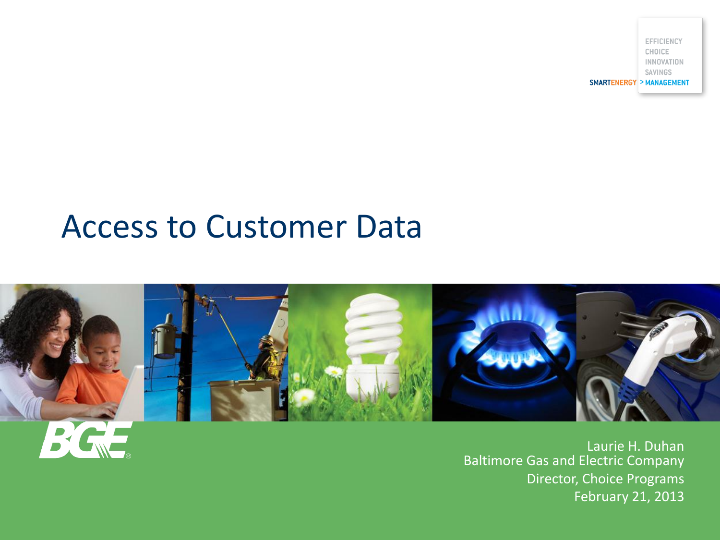EFFICIENCY CHOICE INNOVATION SAVINGS SMARTENERGY > MANAGEMENT

#### Access to Customer Data



Laurie H. Duhan Baltimore Gas and Electric Company Director, Choice Programs February 21, 2013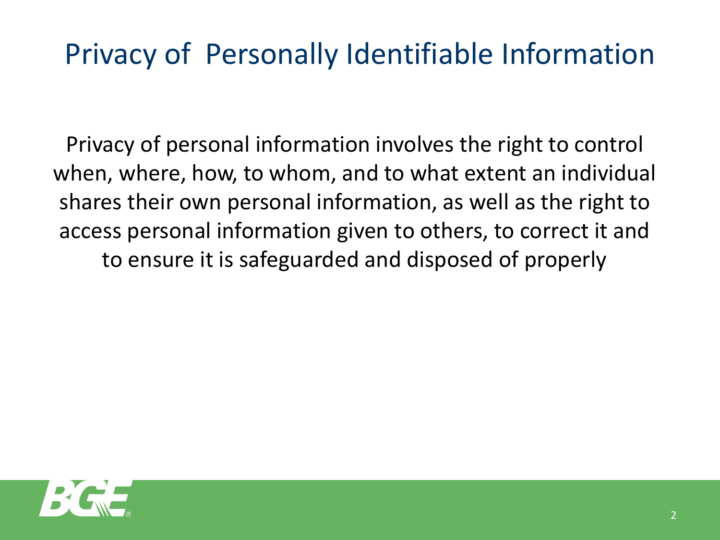## Privacy of Personally Identifiable Information

Privacy of personal information involves the right to control when, where, how, to whom, and to what extent an individual shares their own personal information, as well as the right to access personal information given to others, to correct it and to ensure it is safeguarded and disposed of properly

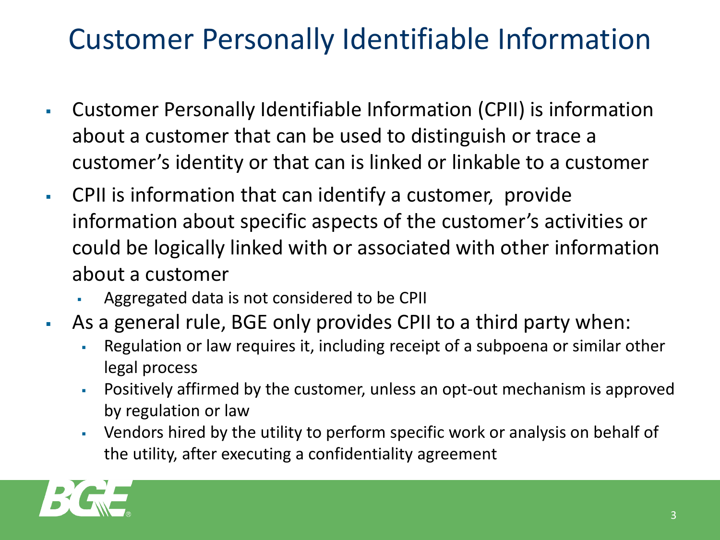## Customer Personally Identifiable Information

- Customer Personally Identifiable Information (CPII) is information about a customer that can be used to distinguish or trace a customer's identity or that can is linked or linkable to a customer
- CPII is information that can identify a customer, provide information about specific aspects of the customer's activities or could be logically linked with or associated with other information about a customer
	- Aggregated data is not considered to be CPII
- As a general rule, BGE only provides CPII to a third party when:
	- Regulation or law requires it, including receipt of a subpoena or similar other legal process
	- Positively affirmed by the customer, unless an opt-out mechanism is approved by regulation or law
	- Vendors hired by the utility to perform specific work or analysis on behalf of the utility, after executing a confidentiality agreement

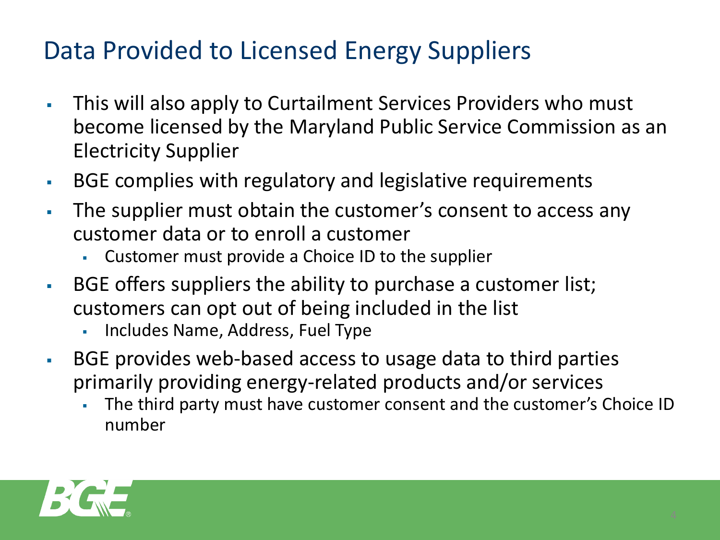#### Data Provided to Licensed Energy Suppliers

- This will also apply to Curtailment Services Providers who must become licensed by the Maryland Public Service Commission as an Electricity Supplier
- BGE complies with regulatory and legislative requirements
- The supplier must obtain the customer's consent to access any customer data or to enroll a customer
	- Customer must provide a Choice ID to the supplier
- BGE offers suppliers the ability to purchase a customer list; customers can opt out of being included in the list
	- Includes Name, Address, Fuel Type
- BGE provides web-based access to usage data to third parties primarily providing energy-related products and/or services
	- The third party must have customer consent and the customer's Choice ID number